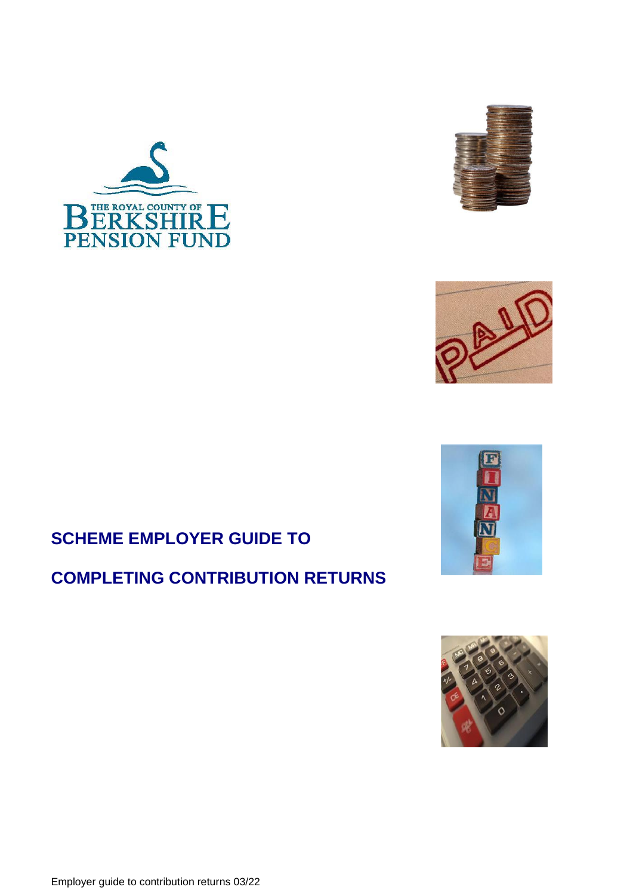







# **SCHEME EMPLOYER GUIDE TO**

# **COMPLETING CONTRIBUTION RETURNS**

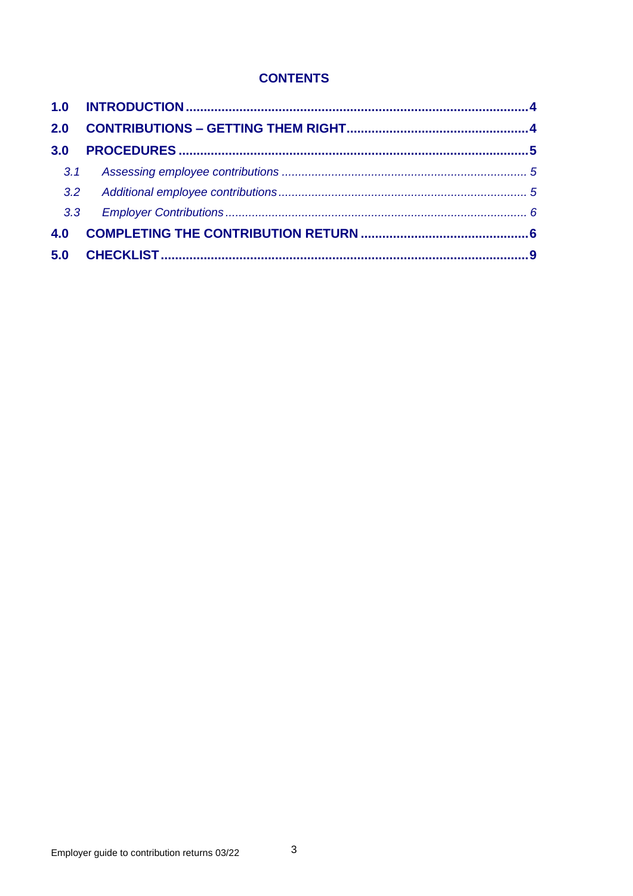# **CONTENTS**

| 2.0 |  |
|-----|--|
| 3.0 |  |
| 3.1 |  |
| 3.2 |  |
| 3.3 |  |
| 4.0 |  |
|     |  |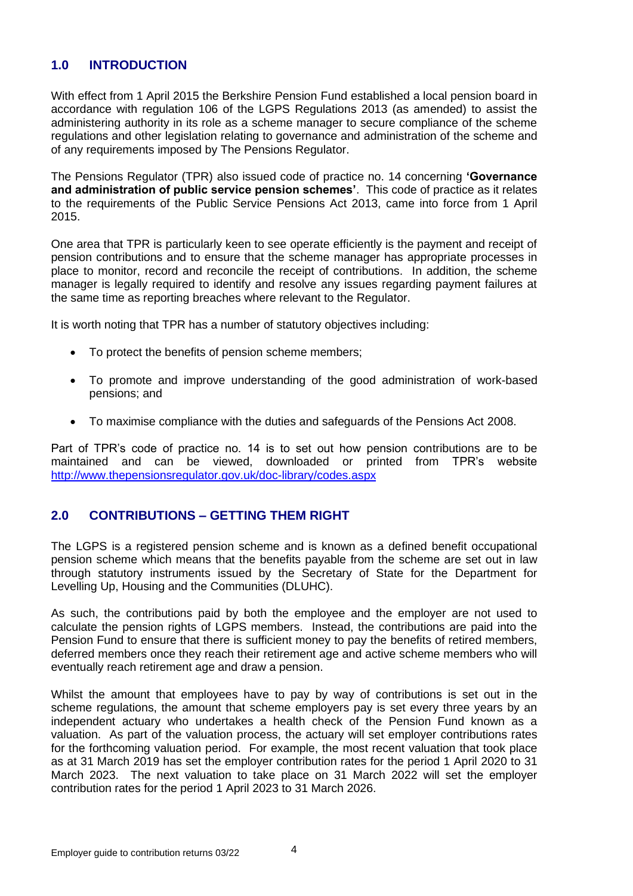## <span id="page-3-0"></span>**1.0 INTRODUCTION**

With effect from 1 April 2015 the Berkshire Pension Fund established a local pension board in accordance with regulation 106 of the LGPS Regulations 2013 (as amended) to assist the administering authority in its role as a scheme manager to secure compliance of the scheme regulations and other legislation relating to governance and administration of the scheme and of any requirements imposed by The Pensions Regulator.

The Pensions Regulator (TPR) also issued code of practice no. 14 concerning **'Governance and administration of public service pension schemes'**. This code of practice as it relates to the requirements of the Public Service Pensions Act 2013, came into force from 1 April 2015.

One area that TPR is particularly keen to see operate efficiently is the payment and receipt of pension contributions and to ensure that the scheme manager has appropriate processes in place to monitor, record and reconcile the receipt of contributions. In addition, the scheme manager is legally required to identify and resolve any issues regarding payment failures at the same time as reporting breaches where relevant to the Regulator.

It is worth noting that TPR has a number of statutory objectives including:

- To protect the benefits of pension scheme members;
- To promote and improve understanding of the good administration of work-based pensions; and
- To maximise compliance with the duties and safeguards of the Pensions Act 2008.

Part of TPR's code of practice no. 14 is to set out how pension contributions are to be maintained and can be viewed, downloaded or printed from TPR's website <http://www.thepensionsregulator.gov.uk/doc-library/codes.aspx>

## <span id="page-3-1"></span>**2.0 CONTRIBUTIONS – GETTING THEM RIGHT**

The LGPS is a registered pension scheme and is known as a defined benefit occupational pension scheme which means that the benefits payable from the scheme are set out in law through statutory instruments issued by the Secretary of State for the Department for Levelling Up, Housing and the Communities (DLUHC).

As such, the contributions paid by both the employee and the employer are not used to calculate the pension rights of LGPS members. Instead, the contributions are paid into the Pension Fund to ensure that there is sufficient money to pay the benefits of retired members, deferred members once they reach their retirement age and active scheme members who will eventually reach retirement age and draw a pension.

Whilst the amount that employees have to pay by way of contributions is set out in the scheme regulations, the amount that scheme employers pay is set every three years by an independent actuary who undertakes a health check of the Pension Fund known as a valuation. As part of the valuation process, the actuary will set employer contributions rates for the forthcoming valuation period. For example, the most recent valuation that took place as at 31 March 2019 has set the employer contribution rates for the period 1 April 2020 to 31 March 2023. The next valuation to take place on 31 March 2022 will set the employer contribution rates for the period 1 April 2023 to 31 March 2026.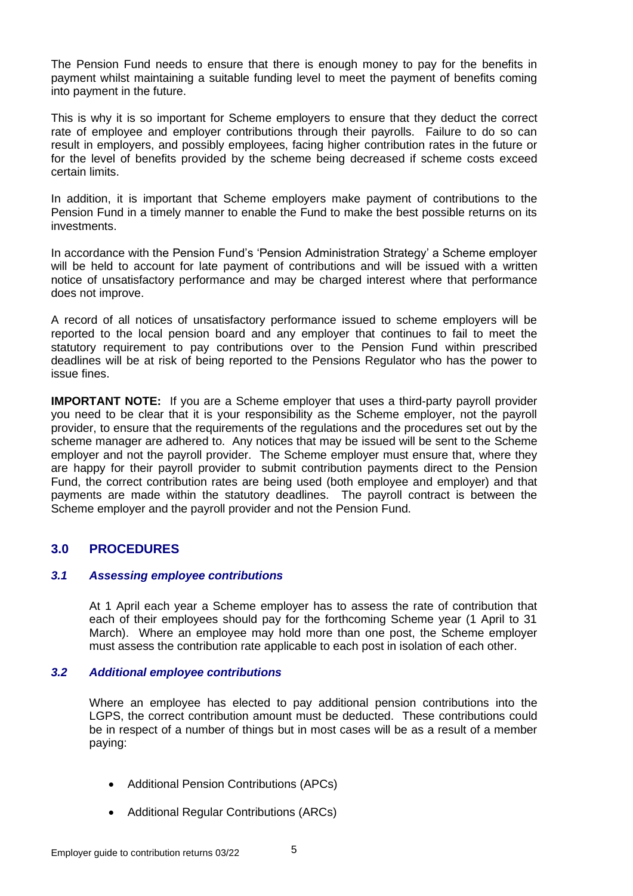The Pension Fund needs to ensure that there is enough money to pay for the benefits in payment whilst maintaining a suitable funding level to meet the payment of benefits coming into payment in the future.

This is why it is so important for Scheme employers to ensure that they deduct the correct rate of employee and employer contributions through their payrolls. Failure to do so can result in employers, and possibly employees, facing higher contribution rates in the future or for the level of benefits provided by the scheme being decreased if scheme costs exceed certain limits.

In addition, it is important that Scheme employers make payment of contributions to the Pension Fund in a timely manner to enable the Fund to make the best possible returns on its investments.

In accordance with the Pension Fund's 'Pension Administration Strategy' a Scheme employer will be held to account for late payment of contributions and will be issued with a written notice of unsatisfactory performance and may be charged interest where that performance does not improve.

A record of all notices of unsatisfactory performance issued to scheme employers will be reported to the local pension board and any employer that continues to fail to meet the statutory requirement to pay contributions over to the Pension Fund within prescribed deadlines will be at risk of being reported to the Pensions Regulator who has the power to issue fines.

**IMPORTANT NOTE:** If you are a Scheme employer that uses a third-party payroll provider you need to be clear that it is your responsibility as the Scheme employer, not the payroll provider, to ensure that the requirements of the regulations and the procedures set out by the scheme manager are adhered to. Any notices that may be issued will be sent to the Scheme employer and not the payroll provider. The Scheme employer must ensure that, where they are happy for their payroll provider to submit contribution payments direct to the Pension Fund, the correct contribution rates are being used (both employee and employer) and that payments are made within the statutory deadlines. The payroll contract is between the Scheme employer and the payroll provider and not the Pension Fund.

## <span id="page-4-0"></span>**3.0 PROCEDURES**

#### <span id="page-4-1"></span>*3.1 Assessing employee contributions*

At 1 April each year a Scheme employer has to assess the rate of contribution that each of their employees should pay for the forthcoming Scheme year (1 April to 31 March). Where an employee may hold more than one post, the Scheme employer must assess the contribution rate applicable to each post in isolation of each other.

#### <span id="page-4-2"></span>*3.2 Additional employee contributions*

Where an employee has elected to pay additional pension contributions into the LGPS, the correct contribution amount must be deducted. These contributions could be in respect of a number of things but in most cases will be as a result of a member paying:

- Additional Pension Contributions (APCs)
- Additional Regular Contributions (ARCs)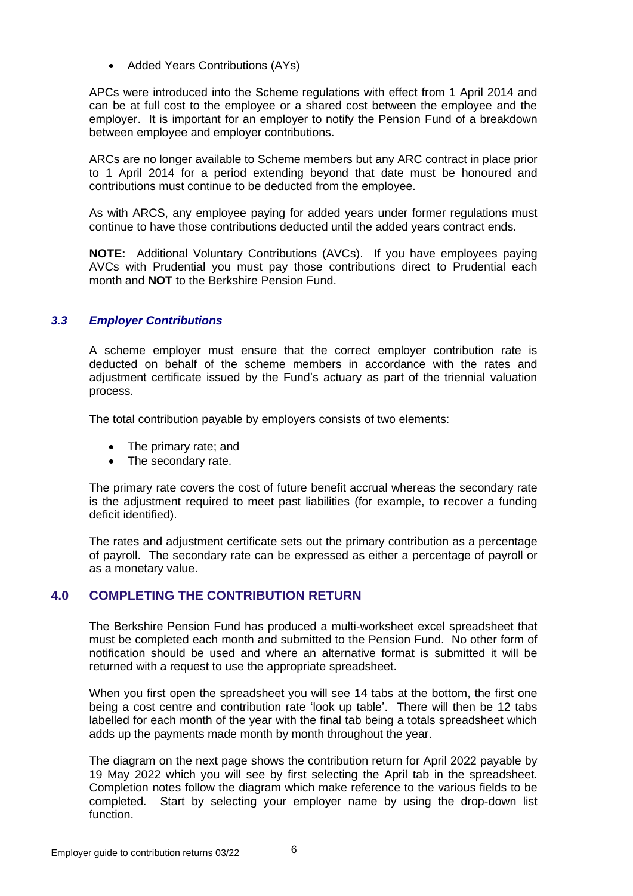• Added Years Contributions (AYs)

APCs were introduced into the Scheme regulations with effect from 1 April 2014 and can be at full cost to the employee or a shared cost between the employee and the employer. It is important for an employer to notify the Pension Fund of a breakdown between employee and employer contributions.

ARCs are no longer available to Scheme members but any ARC contract in place prior to 1 April 2014 for a period extending beyond that date must be honoured and contributions must continue to be deducted from the employee.

As with ARCS, any employee paying for added years under former regulations must continue to have those contributions deducted until the added years contract ends.

**NOTE:** Additional Voluntary Contributions (AVCs). If you have employees paying AVCs with Prudential you must pay those contributions direct to Prudential each month and **NOT** to the Berkshire Pension Fund.

#### <span id="page-5-0"></span>*3.3 Employer Contributions*

A scheme employer must ensure that the correct employer contribution rate is deducted on behalf of the scheme members in accordance with the rates and adjustment certificate issued by the Fund's actuary as part of the triennial valuation process.

The total contribution payable by employers consists of two elements:

- The primary rate; and
- The secondary rate.

The primary rate covers the cost of future benefit accrual whereas the secondary rate is the adjustment required to meet past liabilities (for example, to recover a funding deficit identified).

The rates and adjustment certificate sets out the primary contribution as a percentage of payroll. The secondary rate can be expressed as either a percentage of payroll or as a monetary value.

### <span id="page-5-1"></span>**4.0 COMPLETING THE CONTRIBUTION RETURN**

The Berkshire Pension Fund has produced a multi-worksheet excel spreadsheet that must be completed each month and submitted to the Pension Fund. No other form of notification should be used and where an alternative format is submitted it will be returned with a request to use the appropriate spreadsheet.

When you first open the spreadsheet you will see 14 tabs at the bottom, the first one being a cost centre and contribution rate 'look up table'. There will then be 12 tabs labelled for each month of the year with the final tab being a totals spreadsheet which adds up the payments made month by month throughout the year.

The diagram on the next page shows the contribution return for April 2022 payable by 19 May 2022 which you will see by first selecting the April tab in the spreadsheet. Completion notes follow the diagram which make reference to the various fields to be completed. Start by selecting your employer name by using the drop-down list function.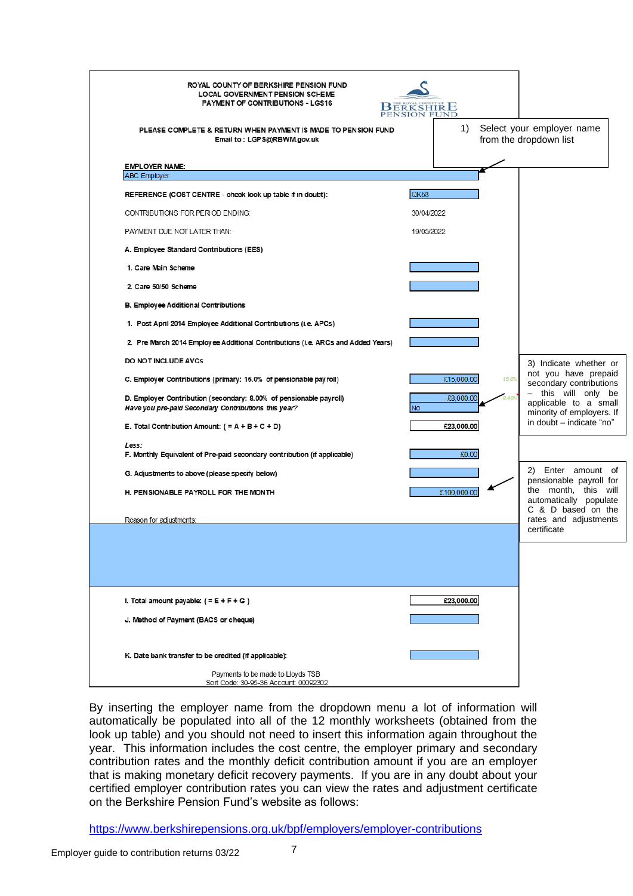| ROYAL COUNTY OF BERKSHIRE PENSION FUND<br>LOCAL GOVERNMENT PENSION SCHEME<br>PAYMENT OF CONTRIBUTIONS - LGS16<br>PLEASE COMPLETE & RETURN WHEN PAYMENT IS MADE TO PENSION FUND<br>Email to: LGPS@RBWM.gov.uk | <b>BERKSHIRE</b> | 1)                  | Select your employer name<br>from the dropdown list                       |
|--------------------------------------------------------------------------------------------------------------------------------------------------------------------------------------------------------------|------------------|---------------------|---------------------------------------------------------------------------|
| <b>EMPLOYER NAME:</b><br><b>ABC Employer</b>                                                                                                                                                                 |                  |                     |                                                                           |
| REFERENCE (COST CENTRE - check look up table if in doubt):                                                                                                                                                   | QK53             |                     |                                                                           |
| CONTRIBUTIONS FOR PERIOD ENDING:                                                                                                                                                                             | 30/04/2022       |                     |                                                                           |
| PAYMENT DUE NOT LATER THAN:                                                                                                                                                                                  | 19/05/2022       |                     |                                                                           |
| A. Employee Standard Contributions (EES)                                                                                                                                                                     |                  |                     |                                                                           |
| 1. Care Main Scheme                                                                                                                                                                                          |                  |                     |                                                                           |
| 2. Care 50/50 Scheme                                                                                                                                                                                         |                  |                     |                                                                           |
| B. Employee Additional Contributions                                                                                                                                                                         |                  |                     |                                                                           |
| 1. Post April 2014 Employee Additional Contributions (i.e. APCs)                                                                                                                                             |                  |                     |                                                                           |
| 2. Pre March 2014 Employee Additional Contributions (i.e. ARCs and Added Years)                                                                                                                              |                  |                     |                                                                           |
| DO NOT INCLUDE AVCs                                                                                                                                                                                          |                  |                     | 3) Indicate whether or                                                    |
| C. Employer Contributions (primary: 15.0% of pensionable payroll)                                                                                                                                            |                  | £15,000.00<br>15.0% | not you have prepaid<br>secondary contributions                           |
| D. Employer Contribution (secondary: 8.00% of pensionable payroll)<br>Have you pre-paid Secondary Contributions this year?                                                                                   | <b>No</b>        | £8,000.00           | - this will only be<br>applicable to a small<br>minority of employers. If |
| E. Total Contribution Amount: $( = A + B + C + D)$                                                                                                                                                           |                  | £23,000.00          | in doubt - indicate "no"                                                  |
| Less:<br>F. Monthly Equivalent of Pre-paid secondary contribution (if applicable)                                                                                                                            |                  | £0.00               |                                                                           |
| G. Adjustments to above (please specify below)                                                                                                                                                               |                  |                     | 2) Enter amount of<br>pensionable payroll for                             |
| H. PENSIONABLE PAYROLL FOR THE MONTH                                                                                                                                                                         |                  | £100,000.00         | the month, this will<br>automatically populate<br>C & D based on the      |
| Reason for adjustments:                                                                                                                                                                                      |                  |                     | rates and adjustments<br>certificate                                      |
|                                                                                                                                                                                                              |                  |                     |                                                                           |
|                                                                                                                                                                                                              |                  |                     |                                                                           |
| I. Total amount payable: $(=E+F+G)$                                                                                                                                                                          |                  | £23,000.00          |                                                                           |
| J. Method of Payment (BACS or cheque)                                                                                                                                                                        |                  |                     |                                                                           |
| K. Date bank transfer to be credited (if applicable):                                                                                                                                                        |                  |                     |                                                                           |
| Payments to be made to Lloyds TSB<br>Sort Code: 30-95-36 Account 00092302                                                                                                                                    |                  |                     |                                                                           |

By inserting the employer name from the dropdown menu a lot of information will automatically be populated into all of the 12 monthly worksheets (obtained from the look up table) and you should not need to insert this information again throughout the year. This information includes the cost centre, the employer primary and secondary contribution rates and the monthly deficit contribution amount if you are an employer that is making monetary deficit recovery payments. If you are in any doubt about your certified employer contribution rates you can view the rates and adjustment certificate on the Berkshire Pension Fund's website as follows:

<https://www.berkshirepensions.org.uk/bpf/employers/employer-contributions>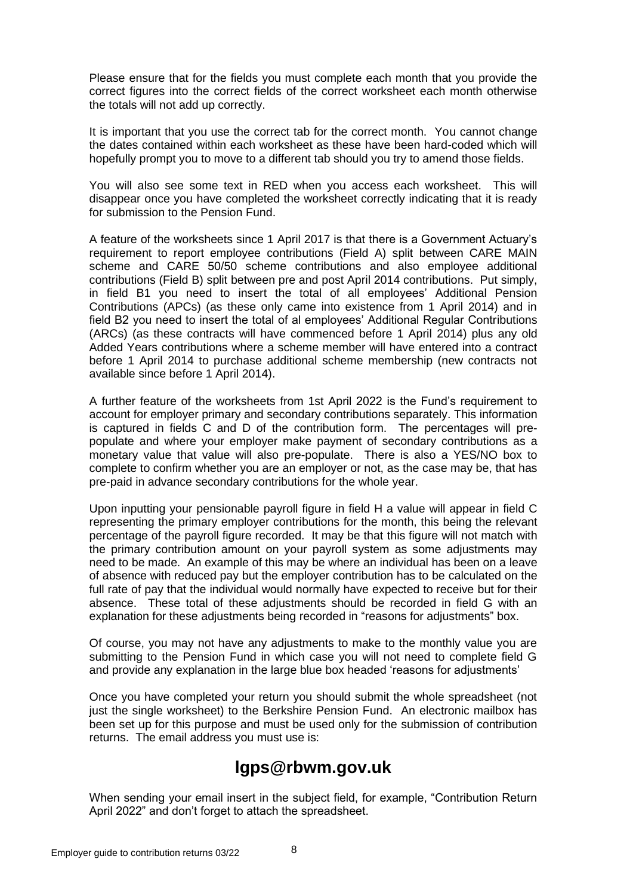Please ensure that for the fields you must complete each month that you provide the correct figures into the correct fields of the correct worksheet each month otherwise the totals will not add up correctly.

It is important that you use the correct tab for the correct month. You cannot change the dates contained within each worksheet as these have been hard-coded which will hopefully prompt you to move to a different tab should you try to amend those fields.

You will also see some text in RED when you access each worksheet. This will disappear once you have completed the worksheet correctly indicating that it is ready for submission to the Pension Fund.

A feature of the worksheets since 1 April 2017 is that there is a Government Actuary's requirement to report employee contributions (Field A) split between CARE MAIN scheme and CARE 50/50 scheme contributions and also employee additional contributions (Field B) split between pre and post April 2014 contributions. Put simply, in field B1 you need to insert the total of all employees' Additional Pension Contributions (APCs) (as these only came into existence from 1 April 2014) and in field B2 you need to insert the total of al employees' Additional Regular Contributions (ARCs) (as these contracts will have commenced before 1 April 2014) plus any old Added Years contributions where a scheme member will have entered into a contract before 1 April 2014 to purchase additional scheme membership (new contracts not available since before 1 April 2014).

A further feature of the worksheets from 1st April 2022 is the Fund's requirement to account for employer primary and secondary contributions separately. This information is captured in fields C and D of the contribution form. The percentages will prepopulate and where your employer make payment of secondary contributions as a monetary value that value will also pre-populate. There is also a YES/NO box to complete to confirm whether you are an employer or not, as the case may be, that has pre-paid in advance secondary contributions for the whole year.

Upon inputting your pensionable payroll figure in field H a value will appear in field C representing the primary employer contributions for the month, this being the relevant percentage of the payroll figure recorded. It may be that this figure will not match with the primary contribution amount on your payroll system as some adjustments may need to be made. An example of this may be where an individual has been on a leave of absence with reduced pay but the employer contribution has to be calculated on the full rate of pay that the individual would normally have expected to receive but for their absence. These total of these adjustments should be recorded in field G with an explanation for these adjustments being recorded in "reasons for adjustments" box.

Of course, you may not have any adjustments to make to the monthly value you are submitting to the Pension Fund in which case you will not need to complete field G and provide any explanation in the large blue box headed 'reasons for adjustments'

Once you have completed your return you should submit the whole spreadsheet (not just the single worksheet) to the Berkshire Pension Fund. An electronic mailbox has been set up for this purpose and must be used only for the submission of contribution returns. The email address you must use is:

# **lgps@rbwm.gov.uk**

When sending your email insert in the subject field, for example, "Contribution Return April 2022" and don't forget to attach the spreadsheet.